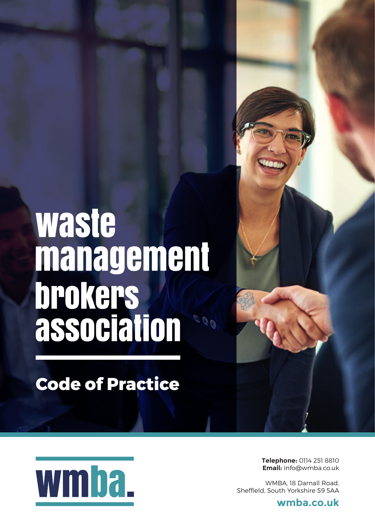# waste management **brokers**<br>association  $00<sub>0</sub>$

**Code of Practice**



**Telephone:** 0114 251 8810 **Email:** info@wmba.co.uk

WMBA, 18 Darnall Road, Sheffield, South Yorkshire S9 5AA

**wmba.co.uk**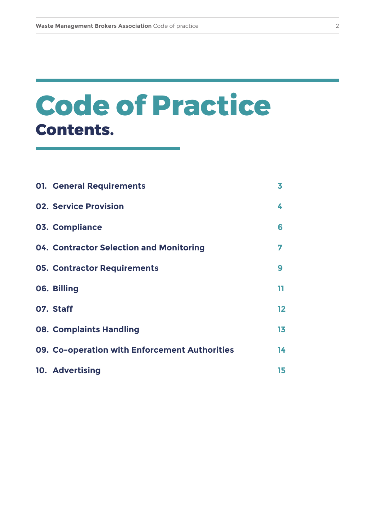# **Contents. Code of Practice**

| <b>01. General Requirements</b>               | 3       |
|-----------------------------------------------|---------|
| <b>02. Service Provision</b>                  | 4       |
| 03. Compliance                                | 6       |
| 04. Contractor Selection and Monitoring       | 7       |
| <b>05. Contractor Requirements</b>            | 9       |
| 06. Billing                                   | 11      |
| 07. Staff                                     | $12 \,$ |
| <b>08. Complaints Handling</b>                | 13      |
| 09. Co-operation with Enforcement Authorities | 14      |
| 10. Advertising                               | 15      |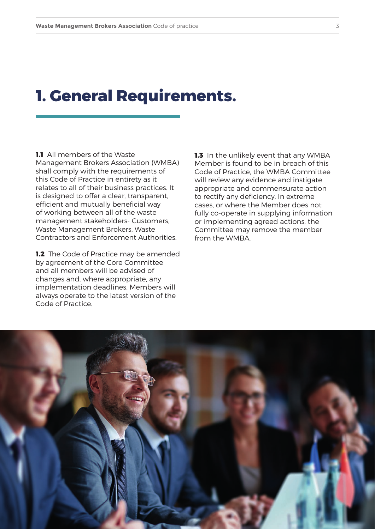#### **1. General Requirements.**

**1.1** All members of the Waste Management Brokers Association (WMBA) shall comply with the requirements of this Code of Practice in entirety as it relates to all of their business practices. It is designed to offer a clear, transparent, efficient and mutually beneficial way of working between all of the waste management stakeholders- Customers, Waste Management Brokers, Waste Contractors and Enforcement Authorities.

**1.2** The Code of Practice may be amended by agreement of the Core Committee and all members will be advised of changes and, where appropriate, any implementation deadlines. Members will always operate to the latest version of the Code of Practice.

**1.3** In the unlikely event that any WMBA Member is found to be in breach of this Code of Practice, the WMBA Committee will review any evidence and instigate appropriate and commensurate action to rectify any deficiency. In extreme cases, or where the Member does not fully co-operate in supplying information or implementing agreed actions, the Committee may remove the member from the WMBA.

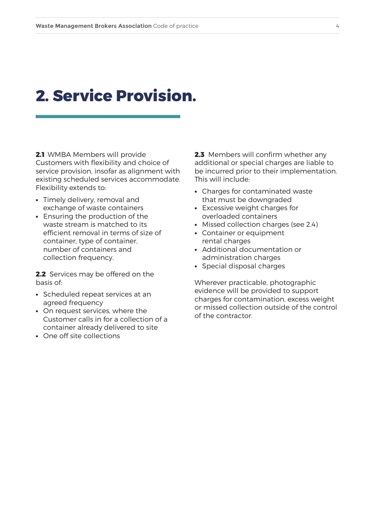#### **2. Service Provision.**

**2.1** WMBA Members will provide Customers with flexibility and choice of service provision, insofar as alignment with existing scheduled services accommodate. Flexibility extends to:

- **•** Timely delivery, removal and exchange of waste containers
- **•** Ensuring the production of the waste stream is matched to its efficient removal in terms of size of container, type of container, number of containers and collection frequency.

**2.2** Services may be offered on the basis of:

- **•** Scheduled repeat services at an agreed frequency
- **•** On request services, where the Customer calls in for a collection of a container already delivered to site
- **•** One off site collections

**2.3** Members will confirm whether any additional or special charges are liable to be incurred prior to their implementation. This will include:

- **•** Charges for contaminated waste that must be downgraded
- **•** Excessive weight charges for overloaded containers
- **•** Missed collection charges (see 2.4)
- **•** Container or equipment rental charges
- **•** Additional documentation or administration charges
- **•** Special disposal charges

Wherever practicable, photographic evidence will be provided to support charges for contamination, excess weight or missed collection outside of the control of the contractor.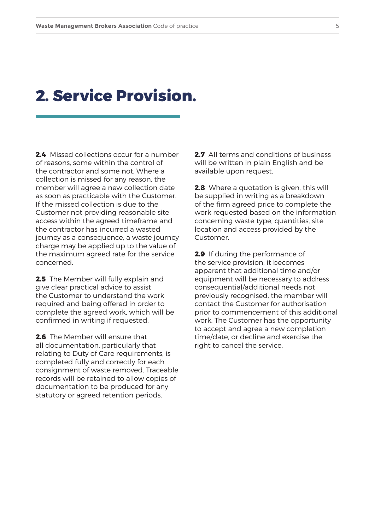#### **2. Service Provision.**

**2.4** Missed collections occur for a number of reasons, some within the control of the contractor and some not. Where a collection is missed for any reason, the member will agree a new collection date as soon as practicable with the Customer. If the missed collection is due to the Customer not providing reasonable site access within the agreed timeframe and the contractor has incurred a wasted journey as a consequence, a waste journey charge may be applied up to the value of the maximum agreed rate for the service concerned.

**2.5** The Member will fully explain and give clear practical advice to assist the Customer to understand the work required and being offered in order to complete the agreed work, which will be confirmed in writing if requested.

**2.6** The Member will ensure that all documentation, particularly that relating to Duty of Care requirements, is completed fully and correctly for each consignment of waste removed. Traceable records will be retained to allow copies of documentation to be produced for any statutory or agreed retention periods.

**2.7** All terms and conditions of business will be written in plain English and be available upon request.

**2.8** Where a quotation is given, this will be supplied in writing as a breakdown of the firm agreed price to complete the work requested based on the information concerning waste type, quantities, site location and access provided by the Customer.

**2.9** If during the performance of the service provision, it becomes apparent that additional time and/or equipment will be necessary to address consequential/additional needs not previously recognised, the member will contact the Customer for authorisation prior to commencement of this additional work. The Customer has the opportunity to accept and agree a new completion time/date, or decline and exercise the right to cancel the service.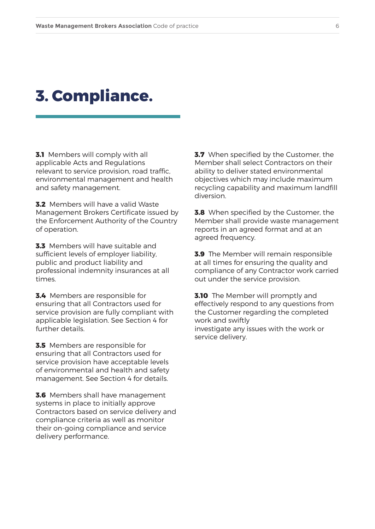#### **3. Compliance.**

**3.1** Members will comply with all applicable Acts and Regulations relevant to service provision, road traffic, environmental management and health and safety management.

**3.2** Members will have a valid Waste Management Brokers Certificate issued by the Enforcement Authority of the Country of operation.

**3.3** Members will have suitable and sufficient levels of employer liability, public and product liability and professional indemnity insurances at all times.

**3.4** Members are responsible for ensuring that all Contractors used for service provision are fully compliant with applicable legislation. See Section 4 for further details.

**3.5** Members are responsible for ensuring that all Contractors used for service provision have acceptable levels of environmental and health and safety management. See Section 4 for details.

**3.6** Members shall have management systems in place to initially approve Contractors based on service delivery and compliance criteria as well as monitor their on-going compliance and service delivery performance.

**3.7** When specified by the Customer, the Member shall select Contractors on their ability to deliver stated environmental objectives which may include maximum recycling capability and maximum landfill diversion.

**3.8** When specified by the Customer, the Member shall provide waste management reports in an agreed format and at an agreed frequency.

**3.9** The Member will remain responsible at all times for ensuring the quality and compliance of any Contractor work carried out under the service provision.

**3.10** The Member will promptly and effectively respond to any questions from the Customer regarding the completed work and swiftly investigate any issues with the work or service delivery.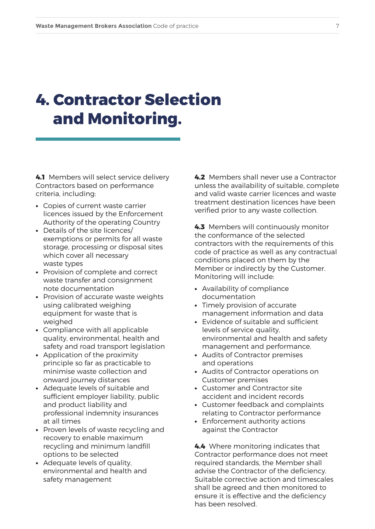## **4. Contractor Selection and Monitoring.**

**4.1** Members will select service delivery Contractors based on performance criteria, including:

- **•** Copies of current waste carrier licences issued by the Enforcement Authority of the operating Country
- **•** Details of the site licences/ exemptions or permits for all waste storage, processing or disposal sites which cover all necessary waste types
- **•** Provision of complete and correct waste transfer and consignment note documentation
- **•** Provision of accurate waste weights using calibrated weighing equipment for waste that is weighed
- **•** Compliance with all applicable quality, environmental, health and safety and road transport legislation
- **•** Application of the proximity principle so far as practicable to minimise waste collection and onward journey distances
- **•** Adequate levels of suitable and sufficient employer liability, public and product liability and professional indemnity insurances at all times
- **•** Proven levels of waste recycling and recovery to enable maximum recycling and minimum landfill options to be selected
- **•** Adequate levels of quality, environmental and health and safety management

**4.2** Members shall never use a Contractor unless the availability of suitable, complete and valid waste carrier licences and waste treatment destination licences have been verified prior to any waste collection.

**4.3** Members will continuously monitor the conformance of the selected contractors with the requirements of this code of practice as well as any contractual conditions placed on them by the Member or indirectly by the Customer. Monitoring will include:

- **•** Availability of compliance documentation
- **•** Timely provision of accurate management information and data
- **•** Evidence of suitable and sufficient levels of service quality, environmental and health and safety management and performance.
- **•** Audits of Contractor premises and operations
- **•** Audits of Contractor operations on Customer premises
- **•** Customer and Contractor site accident and incident records
- **•** Customer feedback and complaints relating to Contractor performance
- **•** Enforcement authority actions against the Contractor

**4.4** Where monitoring indicates that Contractor performance does not meet required standards, the Member shall advise the Contractor of the deficiency. Suitable corrective action and timescales shall be agreed and then monitored to ensure it is effective and the deficiency has been resolved.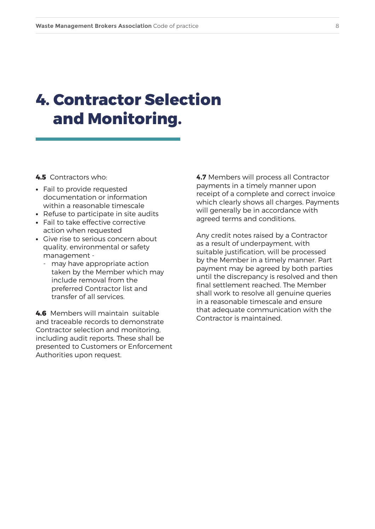## **4. Contractor Selection and Monitoring.**

**4.5** Contractors who:

- **•** Fail to provide requested documentation or information within a reasonable timescale
- **•** Refuse to participate in site audits
- **•** Fail to take effective corrective action when requested
- **•** Give rise to serious concern about quality, environmental or safety management
	- may have appropriate action taken by the Member which may include removal from the preferred Contractor list and transfer of all services.

**4.6** Members will maintain suitable and traceable records to demonstrate Contractor selection and monitoring, including audit reports. These shall be presented to Customers or Enforcement Authorities upon request.

**4.7** Members will process all Contractor payments in a timely manner upon receipt of a complete and correct invoice which clearly shows all charges. Payments will generally be in accordance with agreed terms and conditions.

Any credit notes raised by a Contractor as a result of underpayment, with suitable justification, will be processed by the Member in a timely manner. Part payment may be agreed by both parties until the discrepancy is resolved and then final settlement reached. The Member shall work to resolve all genuine queries in a reasonable timescale and ensure that adequate communication with the Contractor is maintained.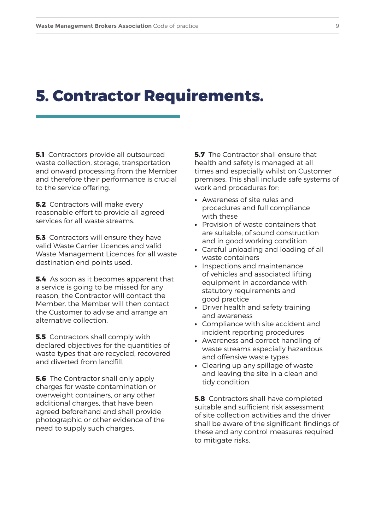#### **5. Contractor Requirements.**

**5.1** Contractors provide all outsourced waste collection, storage, transportation and onward processing from the Member and therefore their performance is crucial to the service offering.

**5.2** Contractors will make every reasonable effort to provide all agreed services for all waste streams.

**5.3** Contractors will ensure they have valid Waste Carrier Licences and valid Waste Management Licences for all waste destination end points used.

**5.4** As soon as it becomes apparent that a service is going to be missed for any reason, the Contractor will contact the Member. the Member will then contact the Customer to advise and arrange an alternative collection.

**5.5** Contractors shall comply with declared objectives for the quantities of waste types that are recycled, recovered and diverted from landfill.

**5.6** The Contractor shall only apply charges for waste contamination or overweight containers, or any other additional charges, that have been agreed beforehand and shall provide photographic or other evidence of the need to supply such charges.

**5.7** The Contractor shall ensure that health and safety is managed at all times and especially whilst on Customer premises. This shall include safe systems of work and procedures for:

- **•** Awareness of site rules and procedures and full compliance with these
- **•** Provision of waste containers that are suitable, of sound construction and in good working condition
- **•** Careful unloading and loading of all waste containers
- **•** Inspections and maintenance of vehicles and associated lifting equipment in accordance with statutory requirements and good practice
- **•** Driver health and safety training and awareness
- **•** Compliance with site accident and incident reporting procedures
- **•** Awareness and correct handling of waste streams especially hazardous and offensive waste types
- **•** Clearing up any spillage of waste and leaving the site in a clean and tidy condition

**5.8** Contractors shall have completed suitable and sufficient risk assessment of site collection activities and the driver shall be aware of the significant findings of these and any control measures required to mitigate risks.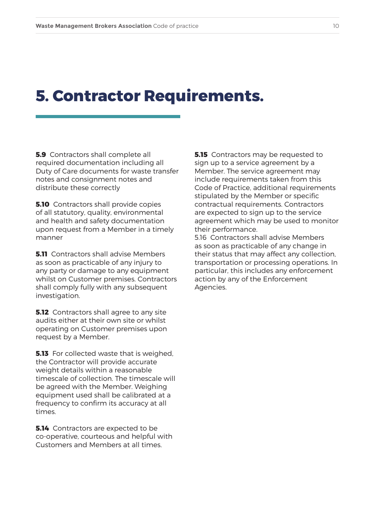#### **5. Contractor Requirements.**

**5.9** Contractors shall complete all required documentation including all Duty of Care documents for waste transfer notes and consignment notes and distribute these correctly

**5.10** Contractors shall provide copies of all statutory, quality, environmental and health and safety documentation upon request from a Member in a timely manner

**5.11** Contractors shall advise Members as soon as practicable of any injury to any party or damage to any equipment whilst on Customer premises. Contractors shall comply fully with any subsequent investigation.

**5.12** Contractors shall agree to any site audits either at their own site or whilst operating on Customer premises upon request by a Member.

**5.13** For collected waste that is weighed, the Contractor will provide accurate weight details within a reasonable timescale of collection. The timescale will be agreed with the Member. Weighing equipment used shall be calibrated at a frequency to confirm its accuracy at all times.

**5.14** Contractors are expected to be co-operative, courteous and helpful with Customers and Members at all times.

**5.15** Contractors may be requested to sign up to a service agreement by a Member. The service agreement may include requirements taken from this Code of Practice, additional requirements stipulated by the Member or specific contractual requirements. Contractors are expected to sign up to the service agreement which may be used to monitor their performance.

5.16 Contractors shall advise Members as soon as practicable of any change in their status that may affect any collection, transportation or processing operations. In particular, this includes any enforcement action by any of the Enforcement Agencies.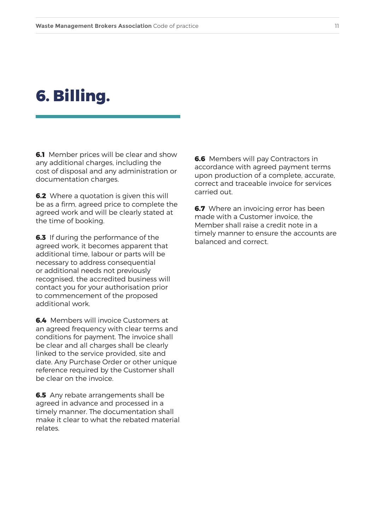#### **6. Billing.**

**6.1** Member prices will be clear and show any additional charges, including the cost of disposal and any administration or documentation charges.

**6.2** Where a quotation is given this will be as a firm, agreed price to complete the agreed work and will be clearly stated at the time of booking.

**6.3** If during the performance of the agreed work, it becomes apparent that additional time, labour or parts will be necessary to address consequential or additional needs not previously recognised, the accredited business will contact you for your authorisation prior to commencement of the proposed additional work.

**6.4** Members will invoice Customers at an agreed frequency with clear terms and conditions for payment. The invoice shall be clear and all charges shall be clearly linked to the service provided, site and date. Any Purchase Order or other unique reference required by the Customer shall be clear on the invoice.

**6.5** Any rebate arrangements shall be agreed in advance and processed in a timely manner. The documentation shall make it clear to what the rebated material relates.

**6.6** Members will pay Contractors in accordance with agreed payment terms upon production of a complete, accurate, correct and traceable invoice for services carried out.

**6.7** Where an invoicing error has been made with a Customer invoice, the Member shall raise a credit note in a timely manner to ensure the accounts are balanced and correct.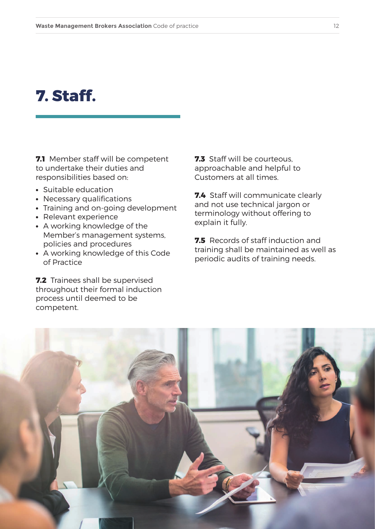#### **7. Staff.**

**7.1** Member staff will be competent to undertake their duties and responsibilities based on:

- **•** Suitable education
- **•** Necessary qualifications
- **•** Training and on-going development
- **•** Relevant experience
- **•** A working knowledge of the Member's management systems, policies and procedures
- **•** A working knowledge of this Code of Practice

**7.2** Trainees shall be supervised throughout their formal induction process until deemed to be competent.

**7.3** Staff will be courteous, approachable and helpful to Customers at all times.

**7.4** Staff will communicate clearly and not use technical jargon or terminology without offering to explain it fully.

**7.5** Records of staff induction and training shall be maintained as well as periodic audits of training needs.

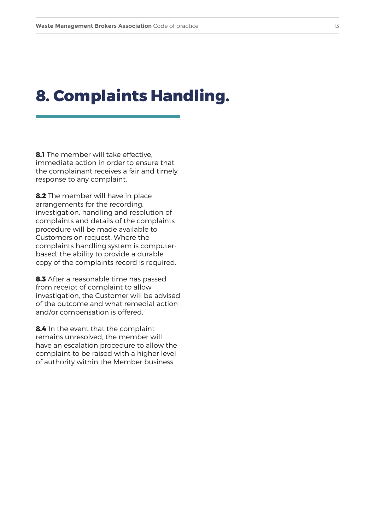#### **8. Complaints Handling.**

**8.1** The member will take effective, immediate action in order to ensure that the complainant receives a fair and timely response to any complaint.

**8.2** The member will have in place arrangements for the recording, investigation, handling and resolution of complaints and details of the complaints procedure will be made available to Customers on request. Where the complaints handling system is computerbased, the ability to provide a durable copy of the complaints record is required.

**8.3** After a reasonable time has passed from receipt of complaint to allow investigation, the Customer will be advised of the outcome and what remedial action and/or compensation is offered.

**8.4** In the event that the complaint remains unresolved, the member will have an escalation procedure to allow the complaint to be raised with a higher level of authority within the Member business.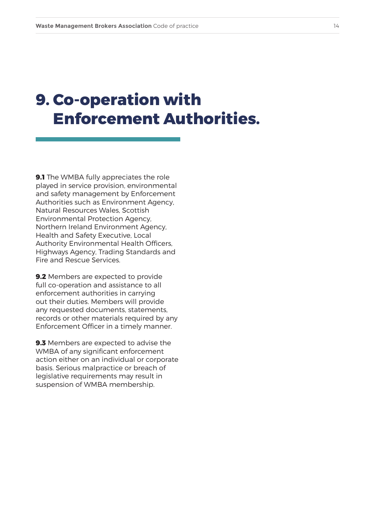# **9. Co-operation with Enforcement Authorities.**

**9.1** The WMBA fully appreciates the role played in service provision, environmental and safety management by Enforcement Authorities such as Environment Agency, Natural Resources Wales, Scottish Environmental Protection Agency, Northern Ireland Environment Agency, Health and Safety Executive, Local Authority Environmental Health Officers, Highways Agency, Trading Standards and Fire and Rescue Services.

**9.2** Members are expected to provide full co-operation and assistance to all enforcement authorities in carrying out their duties. Members will provide any requested documents, statements, records or other materials required by any Enforcement Officer in a timely manner.

**9.3** Members are expected to advise the WMBA of any significant enforcement action either on an individual or corporate basis. Serious malpractice or breach of legislative requirements may result in suspension of WMBA membership.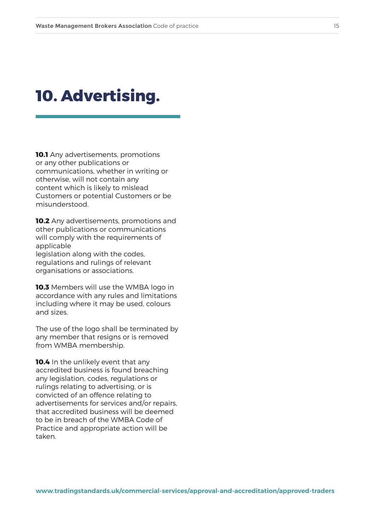#### **10. Advertising.**

**10.1** Any advertisements, promotions or any other publications or communications, whether in writing or otherwise, will not contain any content which is likely to mislead Customers or potential Customers or be misunderstood.

**10.2** Any advertisements, promotions and other publications or communications will comply with the requirements of applicable legislation along with the codes, regulations and rulings of relevant organisations or associations.

**10.3** Members will use the WMBA logo in accordance with any rules and limitations including where it may be used, colours and sizes.

The use of the logo shall be terminated by any member that resigns or is removed from WMBA membership.

**10.4** In the unlikely event that any accredited business is found breaching any legislation, codes, regulations or rulings relating to advertising, or is convicted of an offence relating to advertisements for services and/or repairs, that accredited business will be deemed to be in breach of the WMBA Code of Practice and appropriate action will be taken.